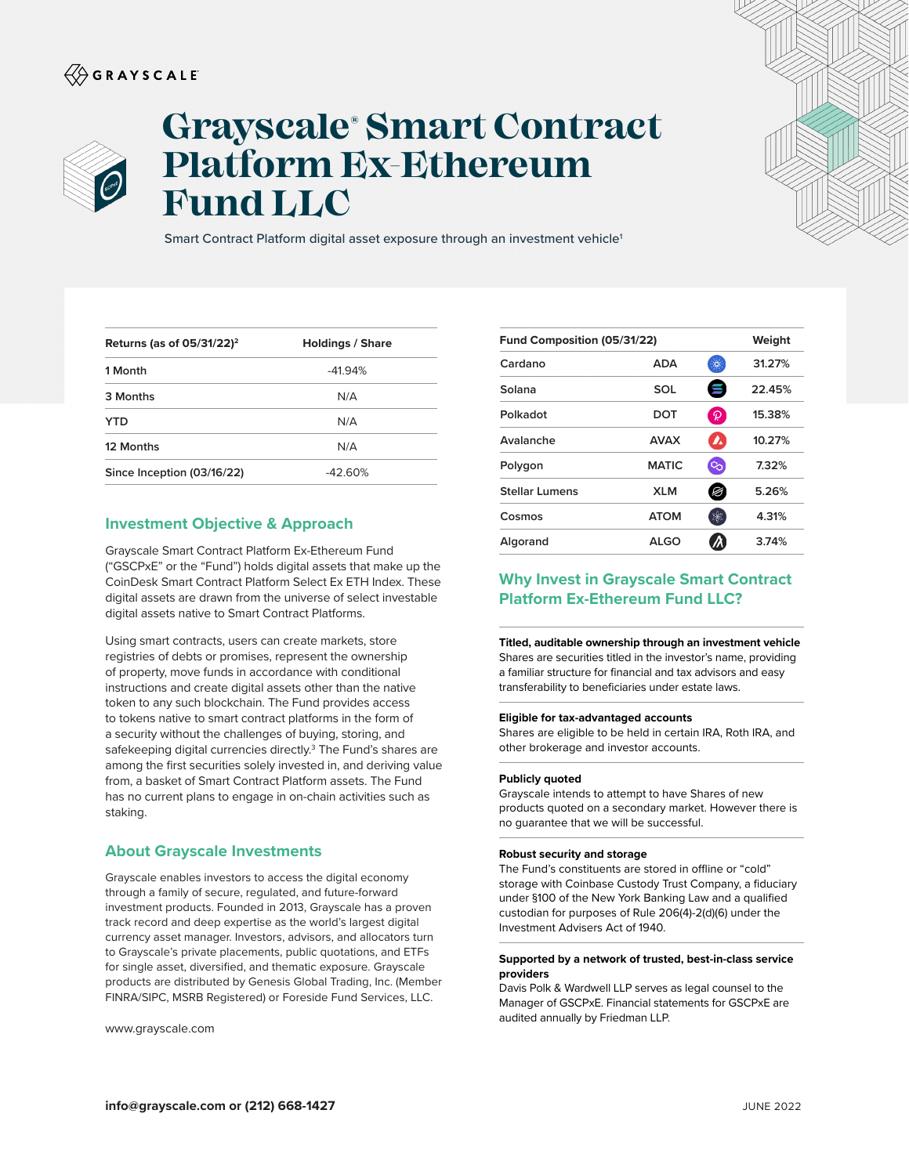## $\langle\!\!\!\langle\hat{\mathbin{\hspace{1.5pt}\circ}}$  G R A Y S C A L E



# **Grayscale® Smart Contract Platform Ex-Ethereum Fund LLC**

Smart Contract Platform digital asset exposure through an investment vehicle<sup>1</sup>

| Returns (as of $05/31/22$ ) <sup>2</sup> | <b>Holdings / Share</b> |
|------------------------------------------|-------------------------|
| 1 Month                                  | $-41.94%$               |
| 3 Months                                 | N/A                     |
| YTD                                      | N/A                     |
| 12 Months                                | N/A                     |
| Since Inception (03/16/22)               | $-42.60%$               |

### **Investment Objective & Approach**

Grayscale Smart Contract Platform Ex-Ethereum Fund ("GSCPxE" or the "Fund") holds digital assets that make up the CoinDesk Smart Contract Platform Select Ex ETH Index. These digital assets are drawn from the universe of select investable digital assets native to Smart Contract Platforms.

Using smart contracts, users can create markets, store registries of debts or promises, represent the ownership of property, move funds in accordance with conditional instructions and create digital assets other than the native token to any such blockchain. The Fund provides access to tokens native to smart contract platforms in the form of a security without the challenges of buying, storing, and safekeeping digital currencies directly.<sup>3</sup> The Fund's shares are among the first securities solely invested in, and deriving value from, a basket of Smart Contract Platform assets. The Fund has no current plans to engage in on-chain activities such as staking.

## **About Grayscale Investments**

Grayscale enables investors to access the digital economy through a family of secure, regulated, and future-forward investment products. Founded in 2013, Grayscale has a proven track record and deep expertise as the world's largest digital currency asset manager. Investors, advisors, and allocators turn to Grayscale's private placements, public quotations, and ETFs for single asset, diversified, and thematic exposure. Grayscale products are distributed by Genesis Global Trading, Inc. (Member FINRA/SIPC, MSRB Registered) or Foreside Fund Services, LLC.

www.grayscale.com

| Weight                                | Fund Composition (05/31/22) |
|---------------------------------------|-----------------------------|
| 31.27%<br><b>ADA</b><br>琛             | Cardano                     |
| W<br>22.45%<br>SOL                    | Solana                      |
| $\mathcal{P}$<br>15.38%<br>DOT        | Polkadot                    |
| $\mathbf{z}$<br>10.27%<br><b>AVAX</b> | Avalanche                   |
| ್ರ<br><b>MATIC</b><br>7.32%           | Polygon                     |
| 5.26%<br><b>XLM</b><br>Ø              | <b>Stellar Lumens</b>       |
| 家<br><b>ATOM</b><br>4.31%             | Cosmos                      |
| 3.74%<br>ALGO                         | Algorand                    |
|                                       |                             |

## **Why Invest in Grayscale Smart Contract Platform Ex-Ethereum Fund LLC?**

**Titled, auditable ownership through an investment vehicle**  Shares are securities titled in the investor's name, providing a familiar structure for financial and tax advisors and easy transferability to beneficiaries under estate laws.

#### **Eligible for tax-advantaged accounts**

Shares are eligible to be held in certain IRA, Roth IRA, and other brokerage and investor accounts.

#### **Publicly quoted**

Grayscale intends to attempt to have Shares of new products quoted on a secondary market. However there is no guarantee that we will be successful.

#### **Robust security and storage**

The Fund's constituents are stored in offline or "cold" storage with Coinbase Custody Trust Company, a fiduciary under §100 of the New York Banking Law and a qualified custodian for purposes of Rule 206(4)-2(d)(6) under the Investment Advisers Act of 1940.

#### **Supported by a network of trusted, best-in-class service providers**

Davis Polk & Wardwell LLP serves as legal counsel to the Manager of GSCPxE. Financial statements for GSCPxE are audited annually by Friedman LLP.